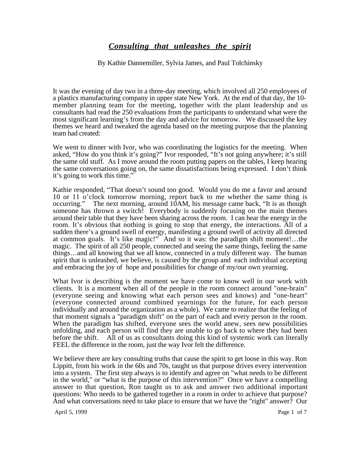## *Consulting that unleashes the spirit*

By Kathie Dannemiller, Sylvia James, and Paul Tolchinsky

It was the evening of day two in a three-day meeting, which involved all 250 employees of a plastics manufacturing company in upper state New York. At the end of that day, the 10 member planning team for the meeting, together with the plant leadership and us consultants had read the 250 evaluations from the participants to understand what were the most significant learning's from the day and advice for tomorrow. We discussed the key themes we heard and tweaked the agenda based on the meeting purpose that the planning team had created:

We went to dinner with Ivor, who was coordinating the logistics for the meeting. When asked, "How do you think it's going?" Ivor responded, "It's not going anywhere; it's still the same old stuff. As I move around the room putting papers on the tables, I keep hearing the same conversations going on, the same dissatisfactions being expressed. I don't think it's going to work this time."

Kathie responded, "That doesn't sound too good. Would you do me a favor and around 10 or 11 o'clock tomorrow morning, report back to me whether the same thing is occurring." The next morning, around 10AM, his message came back, "It is as though someone has thrown a switch! Everybody is suddenly focusing on the main themes around their table that they have been sharing across the room. I can hear the energy in the room. It's obvious that nothing is going to stop that energy, the interactions. All of a sudden there's a ground swell of energy, manifesting a ground swell of activity all directed at common goals. It's like magic!" And so it was: the paradigm shift moment!…the magic. The spirit of all 250 people, connected and seeing the same things, feeling the same things…and all knowing that we all know, connected in a truly different way. The human spirit that is unleashed, we believe, is caused by the group and each individual accepting and embracing the joy of hope and possibilities for change of my/our own yearning.

What Ivor is describing is the moment we have come to know well in our work with clients. It is a moment when all of the people in the room connect around "one-brain" (everyone seeing and knowing what each person sees and knows) and "one-heart" (everyone connected around combined yearnings for the future, for each person individually and around the organization as a whole). We came to realize that the feeling of that moment signals a "paradigm shift" on the part of each and every person in the room. When the paradigm has shifted, everyone sees the world anew, sees new possibilities unfolding, and each person will find they are unable to go back to where they had been before the shift. All of us as consultants doing this kind of systemic work can literally FEEL the difference in the room, just the way Ivor felt the difference.

We believe there are key consulting truths that cause the spirit to get loose in this way. Ron Lippitt, from his work in the 60s and 70s, taught us that purpose drives every intervention into a system. The first step always is to identify and agree on "what needs to be different in the world," or "what is the purpose of this intervention?" Once we have a compelling answer to that question, Ron taught us to ask and answer two additional important questions: Who needs to be gathered together in a room in order to achieve that purpose? And what conversations need to take place to ensure that we have the "right" answer? Our

April 5, 1999 Page 1 of 7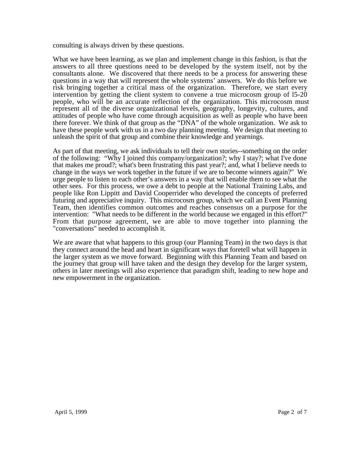consulting is always driven by these questions.

What we have been learning, as we plan and implement change in this fashion, is that the answers to all three questions need to be developed by the system itself, not by the consultants alone. We discovered that there needs to be a process for answering these questions in a way that will represent the whole systems' answers. We do this before we risk bringing together a critical mass of the organization. Therefore, we start every intervention by getting the client system to convene a true microcosm group of l5-20 people, who will be an accurate reflection of the organization. This microcosm must represent all of the diverse organizational levels, geography, longevity, cultures, and attitudes of people who have come through acquisition as well as people who have been there forever. We think of that group as the "DNA" of the whole organization. We ask to have these people work with us in a two day planning meeting. We design that meeting to unleash the spirit of that group and combine their knowledge and yearnings.

As part of that meeting, we ask individuals to tell their own stories--something on the order of the following: "Why I joined this company/organization?; why I stay?; what I've done that makes me proud?; what's been frustrating this past year?; and, what I believe needs to change in the ways we work together in the future if we are to become winners again?" We urge people to listen to each other's answers in a way that will enable them to see what the other sees. For this process, we owe a debt to people at the National Training Labs, and people like Ron Lippitt and David Cooperrider who developed the concepts of preferred futuring and appreciative inquiry. This microcosm group, which we call an Event Planning Team, then identifies common outcomes and reaches consensus on a purpose for the intervention: "What needs to be different in the world because we engaged in this effort?" From that purpose agreement, we are able to move together into planning the "conversations" needed to accomplish it.

We are aware that what happens to this group (our Planning Team) in the two days is that they connect around the head and heart in significant ways that foretell what will happen in the larger system as we move forward. Beginning with this Planning Team and based on the journey that group will have taken and the design they develop for the larger system, others in later meetings will also experience that paradigm shift, leading to new hope and new empowerment in the organization.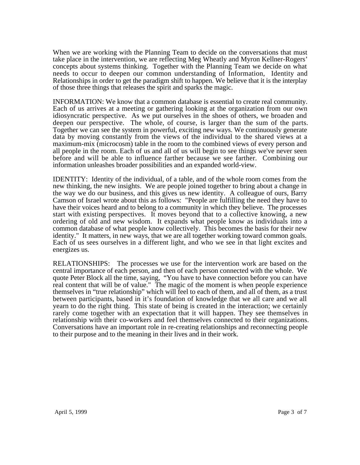When we are working with the Planning Team to decide on the conversations that must take place in the intervention, we are reflecting Meg Wheatly and Myron Kellner-Rogers' concepts about systems thinking. Together with the Planning Team we decide on what needs to occur to deepen our common understanding of Information, Identity and Relationships in order to get the paradigm shift to happen. We believe that it is the interplay of those three things that releases the spirit and sparks the magic.

INFORMATION: We know that a common database is essential to create real community. Each of us arrives at a meeting or gathering looking at the organization from our own idiosyncratic perspective. As we put ourselves in the shoes of others, we broaden and deepen our perspective. The whole, of course, is larger than the sum of the parts. Together we can see the system in powerful, exciting new ways. We continuously generate data by moving constantly from the views of the individual to the shared views at a maximum-mix (microcosm) table in the room to the combined views of every person and all people in the room. Each of us and all of us will begin to see things we've never seen before and will be able to influence farther because we see farther. Combining our information unleashes broader possibilities and an expanded world-view.

IDENTITY: Identity of the individual, of a table, and of the whole room comes from the new thinking, the new insights. We are people joined together to bring about a change in the way we do our business, and this gives us new identity. A colleague of ours, Barry Camson of Israel wrote about this as follows: "People are fulfilling the need they have to have their voices heard and to belong to a community in which they believe. The processes start with existing perspectives. It moves beyond that to a collective knowing, a new ordering of old and new wisdom. It expands what people know as individuals into a common database of what people know collectively. This becomes the basis for their new identity." It matters, in new ways, that we are all together working toward common goals. Each of us sees ourselves in a different light, and who we see in that light excites and energizes us.

RELATIONSHIPS: The processes we use for the intervention work are based on the central importance of each person, and then of each person connected with the whole. We quote Peter Block all the time, saying, "You have to have connection before you can have real content that will be of value." The magic of the moment is when people experience themselves in "true relationship" which will feel to each of them, and all of them, as a trust between participants, based in it's foundation of knowledge that we all care and we all yearn to do the right thing. This state of being is created in the interaction; we certainly rarely come together with an expectation that it will happen. They see themselves in relationship with their co-workers and feel themselves connected to their organizations. Conversations have an important role in re-creating relationships and reconnecting people to their purpose and to the meaning in their lives and in their work.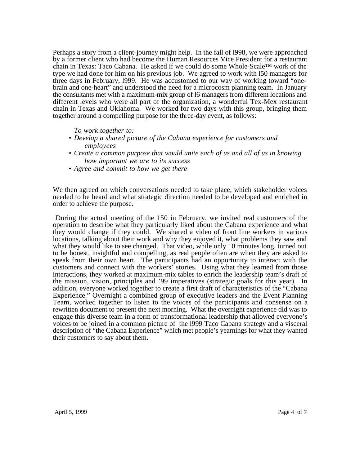Perhaps a story from a client-journey might help. In the fall of l998, we were approached by a former client who had become the Human Resources Vice President for a restaurant chain in Texas: Taco Cabana. He asked if we could do some Whole-Scale™ work of the type we had done for him on his previous job. We agreed to work with l50 managers for three days in February, l999. He was accustomed to our way of working toward "onebrain and one-heart" and understood the need for a microcosm planning team. In January the consultants met with a maximum-mix group of l6 managers from different locations and different levels who were all part of the organization, a wonderful Tex-Mex restaurant chain in Texas and Oklahoma. We worked for two days with this group, bringing them together around a compelling purpose for the three-day event, as follows:

*To work together to:*

- *Develop a shared picture of the Cabana experience for customers and employees*
- *Create a common purpose that would unite each of us and all of us in knowing how important we are to its success*
- *Agree and commit to how we get there*

We then agreed on which conversations needed to take place, which stakeholder voices needed to be heard and what strategic direction needed to be developed and enriched in order to achieve the purpose.

 During the actual meeting of the 150 in February, we invited real customers of the operation to describe what they particularly liked about the Cabana experience and what they would change if they could. We shared a video of front line workers in various locations, talking about their work and why they enjoyed it, what problems they saw and what they would like to see changed. That video, while only 10 minutes long, turned out to be honest, insightful and compelling, as real people often are when they are asked to speak from their own heart. The participants had an opportunity to interact with the customers and connect with the workers' stories. Using what they learned from those interactions, they worked at maximum-mix tables to enrich the leadership team's draft of the mission, vision, principles and '99 imperatives (strategic goals for this year). In addition, everyone worked together to create a first draft of characteristics of the "Cabana Experience." Overnight a combined group of executive leaders and the Event Planning Team, worked together to listen to the voices of the participants and consense on a rewritten document to present the next morning. What the overnight experience did was to engage this diverse team in a form of transformational leadership that allowed everyone's voices to be joined in a common picture of the l999 Taco Cabana strategy and a visceral description of "the Cabana Experience" which met people's yearnings for what they wanted their customers to say about them.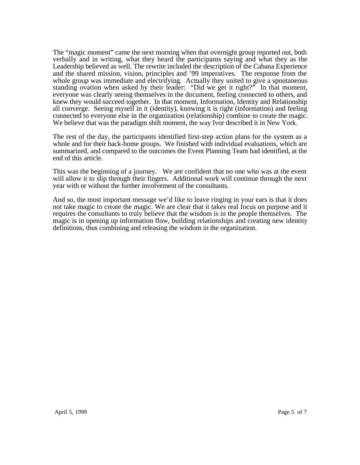The "magic moment" came the next morning when that overnight group reported out, both verbally and in writing, what they heard the participants saying and what they as the Leadership believed as well. The rewrite included the description of the Cabana Experience and the shared mission, vision, principles and '99 imperatives. The response from the whole group was immediate and electrifying. Actually they united to give a spontaneous standing ovation when asked by their leader: "Did we get it right?" In that moment, everyone was clearly seeing themselves in the document, feeling connected to others, and knew they would succeed together. In that moment, Information, Identity and Relationship all converge. Seeing myself in it (identity), knowing it is right (information) and feeling connected to everyone else in the organization (relationship) combine to create the magic. We believe that was the paradigm shift moment, the way Ivor described it in New York.

The rest of the day, the participants identified first-step action plans for the system as a whole and for their back-home groups. We finished with individual evaluations, which are summarized, and compared to the outcomes the Event Planning Team had identified, at the end of this article.

This was the beginning of a journey. We are confident that no one who was at the event will allow it to slip through their fingers. Additional work will continue through the next year with or without the further involvement of the consultants.

And so, the most important message we'd like to leave ringing in your ears is that it does not take magic to create the magic. We are clear that it takes real focus on purpose and it requires the consultants to truly believe that the wisdom is in the people themselves. The magic is in opening up information flow, building relationships and creating new identity definitions, thus combining and releasing the wisdom in the organization.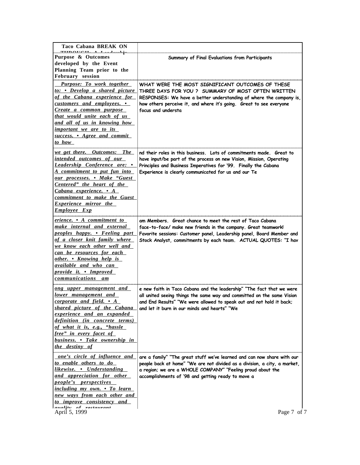| Taco Cabana BREAK ON                                                                                                                                                                                                                                                                                             |                                                                                                                                                                                                                                                                                         |
|------------------------------------------------------------------------------------------------------------------------------------------------------------------------------------------------------------------------------------------------------------------------------------------------------------------|-----------------------------------------------------------------------------------------------------------------------------------------------------------------------------------------------------------------------------------------------------------------------------------------|
| THEORICH. A Leadenship<br>Purpose & Outcomes<br>developed by the Event<br>Planning Team prior to the<br>February session                                                                                                                                                                                         | Summary of Final Evaluations from Participants                                                                                                                                                                                                                                          |
| Purpose: To work together<br>to: • Develop a shared picture<br>of the Cabana experience for<br>customers and employees. •<br>Create a common purpose<br>that would unite each of us<br>and all of us in knowing how<br>important we are to its<br>success. • Agree and commit<br>to how                          | WHAT WERE THE MOST SIGNIFICANT OUTCOMES OF THESE<br>THREE DAYS FOR YOU ? SUMMARY OF MOST OFTEN WRITTEN<br>RESPONSES: We have a better understanding of where the company is,<br>how others perceive it, and where it's going. Great to see everyone<br>focus and understa               |
| we get there. Outcomes: The<br>intended outcomes of our<br>Leadership Conference are: •<br>A commitment to put fun into<br>our processes. • Make "Guest<br>Centered" the heart of the<br>Cabana experience. • A<br>commitment to make the Guest<br><b>Experience mirror the</b><br><b>Employee Exp</b>           | nd their roles in this business. Lots of commitments made. Great to<br>have input/be part of the process on new Vision, Mission, Operating<br>Principles and Business Imperatives for '99. Finally the Cabana<br>Experience is clearly communicated for us and our Te                   |
| erience. • A commitment to<br>make internal and external<br>peoples happy. • Feeling part<br>of a closer knit family where<br>we know each other well and<br>can be resources for each<br>other. • Knowing help is<br>available and who can<br>provide it. • Improved<br>communications am                       | am Members. Great chance to meet the rest of Taco Cabana<br>face-to-face/ make new friends in the company. Great teamwork!<br>Favorite sessions: Customer panel, Leadership panel, Board Member and<br>Stock Analyst, commitments by each team. ACTUAL QUOTES: "I hav                   |
| ong upper management and<br><u>lower management and</u><br>corporate and field. $\bullet$ A<br>shared picture of the Cabana<br>experience and an expanded<br>definition (in concrete terms)<br>of what it is, e.g., "hassle<br><u>free" in every facet of</u><br>business. • Take ownership in<br>the destiny of | e new faith in Taco Cabana and the leadership" "The fact that we were<br>all united seeing things the same way and committed on the same Vision<br>and End Results" "We were allowed to speak out and not hold it back;<br>and let it burn in our minds and hearts" "We                 |
| one's circle of influence and<br>to enable others to do<br>likewise. • Understanding<br>and appreciation for other<br><i>people's perspectives</i><br>including my own. • To learn<br>new ways from each other and<br>to improve consistency and<br>of vootawant<br>ralitw<br>April 5, 1999                      | are a family" "The great stuff we've learned and can now share with our<br>people back at home" "We are not divided as a division, a city, a market,<br>a region; we are a WHOLE COMPANY" "Feeling proud about the<br>accomplishments of '98 and getting ready to move a<br>Page 7 of 7 |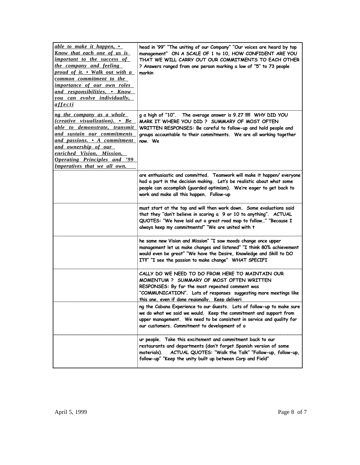| able to make it happen, •<br><u>Know</u> that each one of us is<br><i>important to the success of</i><br>the company and feeling<br>proud of it. • Walk out with a<br>common commitment to the<br><i>importance of our own roles</i><br>and responsibilities. • Know<br>you can evolve individually,<br><u>affecti</u> | head in '99" "The uniting of our Company" "Our voices are heard by top<br>management" ON A SCALE OF 1 to 10, HOW CONFIDENT ARE YOU<br>THAT WE WILL CARRY OUT OUR COMMITMENTS TO EACH OTHER<br>? Answers ranged from one person marking a low of "5" to 73 people<br>markin |
|------------------------------------------------------------------------------------------------------------------------------------------------------------------------------------------------------------------------------------------------------------------------------------------------------------------------|----------------------------------------------------------------------------------------------------------------------------------------------------------------------------------------------------------------------------------------------------------------------------|
| ng the company as a whole<br>(creative visualization). • Be<br>able to demonstrate, transmit<br>and sustain our commitments<br>and passions. • A commitment<br><u>and ownership of our</u><br>enriched Vision, Mission,<br><b>Operating Principles and '99</b><br>Imperatives that we all own.                         | g a high of "10". The average answer is 9.27 !!!! WHY DID YOU<br>MARK IT WHERE YOU DID ? SUMMARY OF MOST OFTEN<br>WRITTEN RESPONSES: Be careful to follow-up and hold people and<br>groups accountable to their commitments. We are all working together<br>now. We        |
|                                                                                                                                                                                                                                                                                                                        | are enthusiastic and committed. Teamwork will make it happen/everyone<br>had a part in the decision making. Let's be realistic about what some<br>people can accomplish (guarded optimism). We're eager to get back to<br>work and make all this happen. Follow-up         |
|                                                                                                                                                                                                                                                                                                                        | must start at the top and will then work down. Some evaluations said<br>that they "don't believe in scoring a 9 or 10 to anything". ACTUAL<br>QUOTES: "We have laid out a great road map to follow" "Because I<br>always keep my commitments!" "We are united with t       |
|                                                                                                                                                                                                                                                                                                                        | he same new Vision and Mission" "I saw moods change once upper<br>management let us make changes and listened" "I think 80% achievement<br>would even be great" "We have the Desire, Knowledge and Skill to DO<br>IT!!" "I see the passion to make change" WHAT SPECIFI    |
|                                                                                                                                                                                                                                                                                                                        | CALLY DO WE NEED TO DO FROM HERE TO MAINTAIN OUR<br>MOMENTUM ? SUMMARY OF MOST OFTEN WRITTEN<br>RESPONSES: By far the most repeated comment was<br>"COMMUNICATION". Lots of responses suggesting more meetings like<br>this one, even if done reaionally. Keep deliveri    |
|                                                                                                                                                                                                                                                                                                                        | ng the Cabana Experience to our Guests. Lots of follow-up to make sure<br>we do what we said we would. Keep the commitment and support from<br>upper management. We need to be consistent in service and quality for<br>our customers. Commitment to development of o      |
|                                                                                                                                                                                                                                                                                                                        | ur people. Take this excitement and commitment back to our<br>restaurants and departments (don't forget Spanish version of some<br>ACTUAL QUOTES: "Walk the Talk" "Follow-up, follow-up,<br>materials).<br>follow-up" "Keep the unity built up between Corp and Field"     |